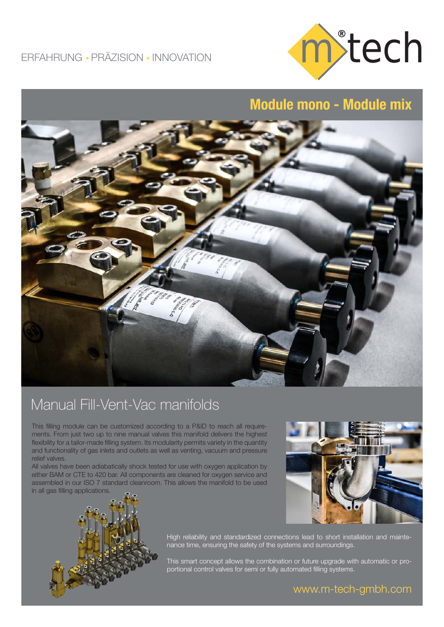

## Module mono - Module mix



## Manual Fill-Vent-Vac manifolds

This filling module can be customized according to a P&ID to reach all requirements. From just two up to nine manual valves this manifold delivers the highest flexibility for a tailor-made filling system. Its modularity permits variety in the quantity and functionality of gas inlets and outlets as well as venting, vacuum and pressure relief valves.

All valves have been adiabatically shock tested for use with oxygen application by either BAM or CTE to 420 bar. All components are cleaned for oxygen service and assembled in our ISO 7 standard cleanroom. This allows the manifold to be used in all gas filling applications.





High reliability and standardized connections lead to short installation and maintenance time, ensuring the safety of the systems and surroundings.

This smart concept allows the combination or future upgrade with automatic or proportional control valves for semi or fully automated filling systems.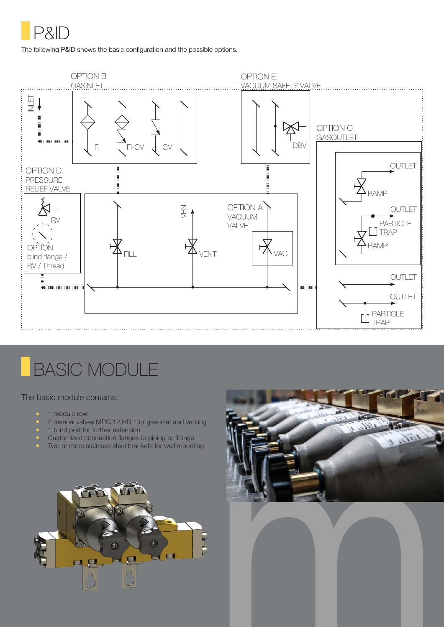

The following P&ID shows the basic configuration and the possible options.



## BASIC MODULE

The basic module contains:

- 1 module row
- 2 manual valves MPG 12 HD<sup>1</sup> for gas-inlet and venting
- 1 blind port for further extension
- Customized connection flanges to piping or fittings
- Two or more stainless steel brackets for wall mounting





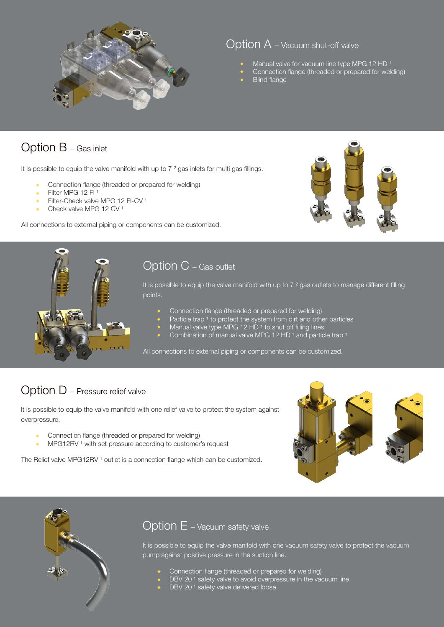

#### Option A – Vacuum shut-off valve

- Manual valve for vacuum line type MPG 12 HD<sup>1</sup>
- Connection flange (threaded or prepared for welding)
- **Blind flange**

### Option B – Gas inlet

It is possible to equip the valve manifold with up to  $7<sup>2</sup>$  gas inlets for multi gas fillings.

- Connection flange (threaded or prepared for welding)
- Filter MPG 12 FI<sup>1</sup>
- Filter-Check valve MPG 12 FI-CV<sup>1</sup>
- Check valve MPG 12 CV<sup>1</sup>

All connections to external piping or components can be customized.





### Option C – Gas outlet

It is possible to equip the valve manifold with up to 7 <sup>2</sup> gas outlets to manage different filling points.

- Connection flange (threaded or prepared for welding)
- Particle trap 1 to protect the system from dirt and other particles
- Manual valve type MPG 12 HD<sup>1</sup> to shut off filling lines
- Combination of manual valve MPG 12 HD<sup>1</sup> and particle trap<sup>1</sup>

All connections to external piping or components can be customized.

### Option D – Pressure relief valve

It is possible to equip the valve manifold with one relief valve to protect the system against overpressure.

- Connection flange (threaded or prepared for welding)
- MPG12RV<sup>1</sup> with set pressure according to customer's request

The Relief valve MPG12RV<sup>1</sup> outlet is a connection flange which can be customized.





#### Option E – Vacuum safety valve

It is possible to equip the valve manifold with one vacuum safety valve to protect the vacuum pump against positive pressure in the suction line.

- Connection flange (threaded or prepared for welding)
- DBV 20<sup>1</sup> safety valve to avoid overpressure in the vacuum line
- $\bullet$  DBV 20<sup>1</sup> safety valve delivered loose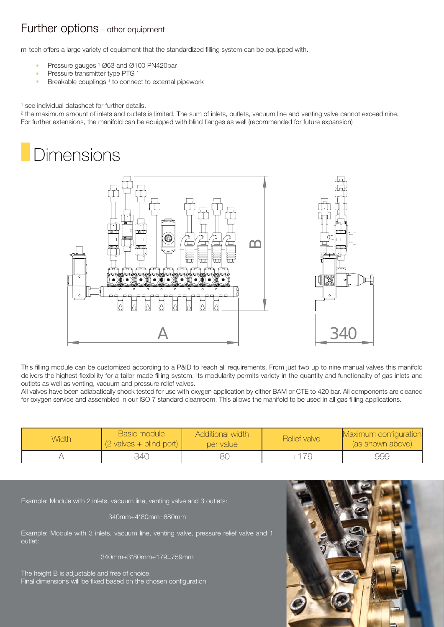### Further options – other equipment

m-tech offers a large variety of equipment that the standardized filling system can be equipped with.

- Pressure gauges <sup>1</sup> Ø63 and Ø100 PN420bar
- Pressure transmitter type PTG 1
- Breakable couplings<sup>1</sup> to connect to external pipework

#### <sup>1</sup> see individual datasheet for further details.

<sup>2</sup> the maximum amount of inlets and outlets is limited. The sum of inlets, outlets, vacuum line and venting valve cannot exceed nine. For further extensions, the manifold can be equipped with blind flanges as well (recommended for future expansion)

## **Dimensions**



This filling module can be customized according to a P&ID to reach all requirements. From just two up to nine manual valves this manifold delivers the highest flexibility for a tailor-made filling system. Its modularity permits variety in the quantity and functionality of gas inlets and outlets as well as venting, vacuum and pressure relief valves.

All valves have been adiabatically shock tested for use with oxygen application by either BAM or CTE to 420 bar. All components are cleaned for oxygen service and assembled in our ISO 7 standard cleanroom. This allows the manifold to be used in all gas filling applications.

| <b>Width</b> | Basic module<br>$(2$ valves + blind port) | <b>Additional width</b><br>per value | Relief valve | Maximum configuration<br>(as shown above) |
|--------------|-------------------------------------------|--------------------------------------|--------------|-------------------------------------------|
|              | 34C                                       | +80                                  | 79           | 999                                       |

Example: Module with 2 inlets, vacuum line, venting valve and 3 outlets:

340mm+4\*80mm=680mm

Example: Module with 3 inlets, vacuum line, venting valve, pressure relief valve and 1 outlet:

340mm+3\*80mm+179=759mm

The height B is adjustable and free of choice. Final dimensions will be fixed based on the chosen configuration.

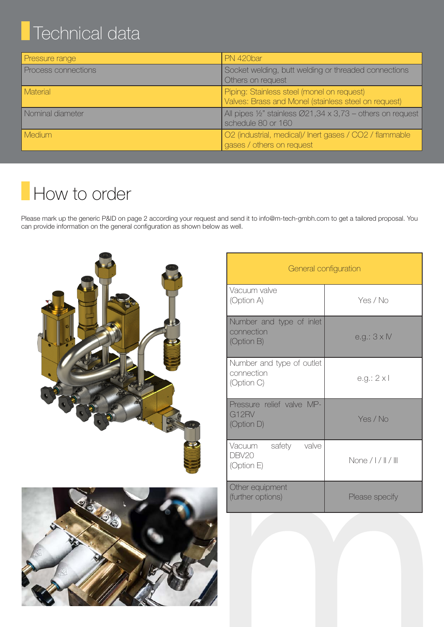# Technical data

| Pressure range      | PN 420bar                                                                                                |
|---------------------|----------------------------------------------------------------------------------------------------------|
| Process connections | Socket welding, butt welding or threaded connections<br>Others on request                                |
| <b>Material</b>     | Piping: Stainless steel (monel on request)<br>Valves: Brass and Monel (stainless steel on request)       |
| Nominal diameter    | All pipes $\frac{1}{2}$ " stainless $\varnothing$ 21,34 x 3,73 – others on request<br>schedule 80 or 160 |
| <b>Medium</b>       | O2 (industrial, medical)/ Inert gases / CO2 / flammable<br>gases / others on request                     |

# How to order

Please mark up the generic P&ID on page 2 according your request and send it to info@m-tech-gmbh.com to get a tailored proposal. You can provide information on the general configuration as shown below as well.





| Vacuum valve<br>(Option A)<br>Yes / No<br>Number and type of inlet<br>connection<br>$e.g.: 3 \times IV$<br>(Option B)<br>Number and type of outlet<br>connection<br>$e.g.: 2 \times I$<br>(Option C)<br>Pressure relief valve MP-<br>G12RV<br>Yes / No<br>(Option D)<br>valve<br>Vacuum<br>safety<br>DBV20<br>None $/$   $/$    $/$    <br>(Option E)<br>Other equipment<br>(further options)<br>Please specify |  |
|-----------------------------------------------------------------------------------------------------------------------------------------------------------------------------------------------------------------------------------------------------------------------------------------------------------------------------------------------------------------------------------------------------------------|--|
|                                                                                                                                                                                                                                                                                                                                                                                                                 |  |
|                                                                                                                                                                                                                                                                                                                                                                                                                 |  |
|                                                                                                                                                                                                                                                                                                                                                                                                                 |  |
|                                                                                                                                                                                                                                                                                                                                                                                                                 |  |
|                                                                                                                                                                                                                                                                                                                                                                                                                 |  |
|                                                                                                                                                                                                                                                                                                                                                                                                                 |  |
|                                                                                                                                                                                                                                                                                                                                                                                                                 |  |